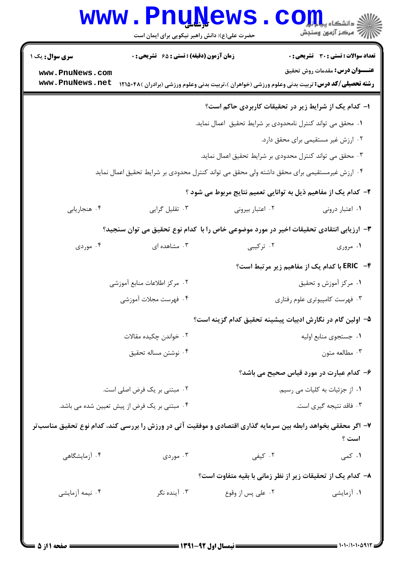|                                                                                                                                                                                                                             | <b>www.PnuNews</b>                                                                                                       |                                                                                                        | $\text{C}$ Om,<br>أأأآه مركز آزمون وسنجش                                                                      |  |
|-----------------------------------------------------------------------------------------------------------------------------------------------------------------------------------------------------------------------------|--------------------------------------------------------------------------------------------------------------------------|--------------------------------------------------------------------------------------------------------|---------------------------------------------------------------------------------------------------------------|--|
| <b>سری سوال :</b> یک ۱<br>www.PnuNews.com<br>www.PnuNews.net                                                                                                                                                                | حضرت علی(ع): دانش راهبر نیکویی برای ایمان است<br>زمان آزمون (دقیقه) : تستی : ۶۵ گشریحی : 0                               | <b>رشته تحصیلی/کد درس:</b> تربیت بدنی وعلوم ورزشی (خواهران )،تربیت بدنی وعلوم ورزشی (برادران )۴۸۵۰۴۸ ( | <b>تعداد سوالات : تستی : 30 ٪ تشریحی : 0</b><br><b>عنـــوان درس:</b> مقدمات روش تحقیق                         |  |
| ا– کدام یک از شرایط زیر در تحقیقات کاربردی حاکم است؟<br>٠١ محقق مى تواند كنترل نامحدودى بر شرايط تحقيق اعمال نمايد.<br>٠٢ ارزش غير مستقيمي براي محقق دارد.                                                                  |                                                                                                                          |                                                                                                        |                                                                                                               |  |
| ۰۳ محقق می تواند کنترل محدودی بر شرایط تحقیق اعمال نماید.<br>۰۴ ارزش غیرمستقیمی برای محقق داشته ولی محقق می تواند کنترل محدودی بر شرایط تحقیق اعمال نماید<br>۲- کدام یک از مفاهیم ذیل به توانایی تعمیم نتایج مربوط می شود ؟ |                                                                                                                          |                                                                                                        |                                                                                                               |  |
| ۰۴ هنجاريابي<br>۰۴ موردی                                                                                                                                                                                                    | ۰۳ تقلیل گرایی<br>۳- ارزیابی انتقادی تحقیقات اخیر در مورد موضوعی خاص را با کدام نوع تحقیق می توان سنجید؟<br>۰۳ مشاهده ای | ۰۲ اعتبار بیرونی<br>۰۲ ترکیبی                                                                          | ۰۱ اعتبار درونی<br>۰۱ مروری                                                                                   |  |
|                                                                                                                                                                                                                             | ٢. مركز اطلاعات منابع أموزشي<br>۰۴ فهرست مجلات آموزشی                                                                    |                                                                                                        | <b>۴- ERIC با کدام یک از مفاهیم زیر مرتبط است؟</b><br>۰۱ مرکز آموزش و تحقیق<br>۰۳ فهرست کامپیوتری علوم رفتاری |  |
|                                                                                                                                                                                                                             | ۰۲ خواندن چکیده مقالات<br>۰۴ نوشتن مساله تحقیق                                                                           | ۵– اولین گام در نگارش ادبیات پیشینه تحقیق کدام گزینه است؟                                              | ۰۱ جستجوی منابع اولیه<br>۰۳ مطالعه متون                                                                       |  |
|                                                                                                                                                                                                                             | ۰۲ مبتنی بر یک فرض اصلی است.<br>۰۴ مبتنی بر یک فرض از پیش تعیین شده می باشد.                                             |                                                                                                        | ۶- کدام عبارت در مورد قیاس صحیح می باشد؟<br>٠١. از جزئيات به كليات مي رسيم.<br>۰۳ فاقد نتیجه گیری است.        |  |
| ۰۴ آزمایشگاهی                                                                                                                                                                                                               | ۷– اگر محققی بخواهد رابطه بین سرمایه گذاری اقتصادی و موفقیت آتی در ورزش را بررسی کند، کدام نوع تحقیق مناسبتر<br>۰۳ موردی | ۰۲ کیفی                                                                                                | است ؟<br>۰۱ کمی                                                                                               |  |
| ۰۴ نیمه آزمایشی                                                                                                                                                                                                             | ۰۳ آینده نگر                                                                                                             | ۸– کدام یک از تحقیقات زیر از نظر زمانی با بقیه متفاوت است؟<br>۰۲ علي پس از وقوع                        | ۰۱ آزمایشی                                                                                                    |  |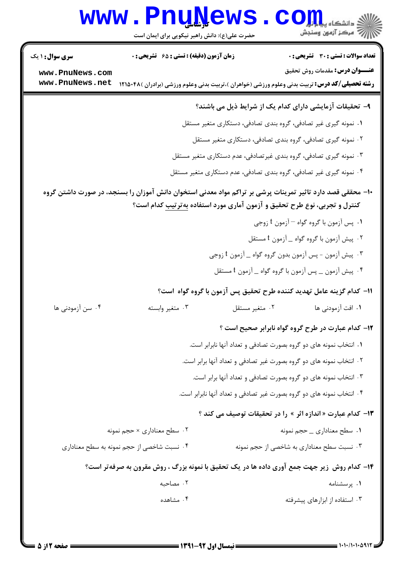|                                                                                                            | <b>www.PnuNews</b><br>حضرت علی(ع): دانش راهبر نیکویی برای ایمان است | الاد دانشگاه پیام <mark>تول</mark><br>الا مرکز آزمون وسنجش                                                                                      |  |  |
|------------------------------------------------------------------------------------------------------------|---------------------------------------------------------------------|-------------------------------------------------------------------------------------------------------------------------------------------------|--|--|
| <b>سری سوال : ۱ یک</b>                                                                                     | زمان آزمون (دقیقه) : تستی : ۶۵ گتشریحی : 0                          | <b>تعداد سوالات : تستی : 30 ٪ تشریحی : 0</b>                                                                                                    |  |  |
| www.PnuNews.com<br>www.PnuNews.net                                                                         |                                                                     | <b>عنـــوان درس:</b> مقدمات روش تحقیق<br><b>رشته تحصیلی/کد درس:</b> تربیت بدنی وعلوم ورزشی (خواهران )،تربیت بدنی وعلوم ورزشی (برادران )۴۸۵۰۴۸ ( |  |  |
|                                                                                                            |                                                                     | ۹- تحقیقات آزمایشی دارای کدام یک از شرایط ذیل می باشند؟                                                                                         |  |  |
|                                                                                                            | ۰۱ نمونه گیری غیر تصادفی، گروه بندی تصادفی، دستکاری متغیر مستقل     |                                                                                                                                                 |  |  |
|                                                                                                            | ۰۲ نمونه گیری تصادفی، گروه بندی تصادفی، دستکاری متغیر مستقل         |                                                                                                                                                 |  |  |
|                                                                                                            | ۰۳ نمونه گیری تصادفی، گروه بندی غیرتصادفی، عدم دستکاری متغیر مستقل  |                                                                                                                                                 |  |  |
| ۰۴ نمونه گیری غیر تصادفی، گروه بندی تصادفی، عدم دستکاری متغیر مستقل                                        |                                                                     |                                                                                                                                                 |  |  |
| +ا– محققی قصد دارد تاثیر تمرینات پرشی بر تراکم مواد معدنی استخوان دانش آموزان را بسنجد، در صورت داشتن گروه |                                                                     |                                                                                                                                                 |  |  |
| کنترل و تجربی، نوع طرح تحقیق و آزمون آماری مورد استفاده به <i>ت</i> رتیب کدام است؟                         |                                                                     |                                                                                                                                                 |  |  |
|                                                                                                            | ۰۱ پس آزمون با گروه گواه <sup>—</sup> آزمون t زوجي                  |                                                                                                                                                 |  |  |
|                                                                                                            |                                                                     | ۰۲ پیش آزمون با گروه گواه _ آزمون t مستقل                                                                                                       |  |  |
|                                                                                                            |                                                                     | ۰۳ پیش آزمون - پس آزمون بدون گروه گواه _ آزمون t زوجي<br>۰۴ پیش آزمون <sub>ــ</sub> پس آزمون با گروه گواه _ آزمون t مستقل                       |  |  |
|                                                                                                            |                                                                     |                                                                                                                                                 |  |  |
|                                                                                                            |                                                                     | 11– كدام گزينه عامل تهديد كننده طرح تحقيق پس آزمون با گروه گواه است؟                                                                            |  |  |
| ۰۴ سن آزمودنی ها                                                                                           | ۰۳ متغیر وابسته                                                     | ٠١. افت آزمودنی ها<br>۰۲ متغیر مستقل                                                                                                            |  |  |
|                                                                                                            |                                                                     | ۱۲- کدام عبارت در طرح گروه گواه نابرابر صحیح است ؟                                                                                              |  |  |
|                                                                                                            |                                                                     | ۰۱ انتخاب نمونه های دو گروه بصورت تصادفی و تعداد آنها نابرابر است.                                                                              |  |  |
| ۲. انتخاب نمونه های دو گروه بصورت غیر تصادفی و تعداد آنها برابر است.                                       |                                                                     |                                                                                                                                                 |  |  |
|                                                                                                            |                                                                     | ۰۳ انتخاب نمونه های دو گروه بصورت تصادفی و تعداد آنها برابر است.                                                                                |  |  |
|                                                                                                            |                                                                     | ۰۴ انتخاب نمونه های دو گروه بصورت غیر تصادفی و تعداد آنها نابرابر است.                                                                          |  |  |
|                                                                                                            |                                                                     | ۱۳- کدام عبارت « اندازه اثر » را در تحقیقات توصیف می کند ؟                                                                                      |  |  |
|                                                                                                            | ۰۲ سطح معناداری × حجم نمونه                                         | ۰۱ سطح معناداری _ حجم نمونه                                                                                                                     |  |  |
|                                                                                                            | ۰۴ نسبت شاخصی از حجم نمونه به سطح معناداری                          | ۰۳ نسبت سطح معناداری به شاخصی از حجم نمونه                                                                                                      |  |  |
|                                                                                                            |                                                                     | ۱۴- کدام روش ِ زیر جهت جمع آوری داده ها در یک تحقیق با نمونه بزرگ ، روش مقرون به صرفه تر است؟                                                   |  |  |
|                                                                                                            | ۰۲ مصاحبه                                                           | ۰۱ پرسشنامه                                                                                                                                     |  |  |
|                                                                                                            | ۰۴ مشاهده                                                           | ۰۳ استفاده از ابزارهای پیشرفته                                                                                                                  |  |  |
|                                                                                                            |                                                                     |                                                                                                                                                 |  |  |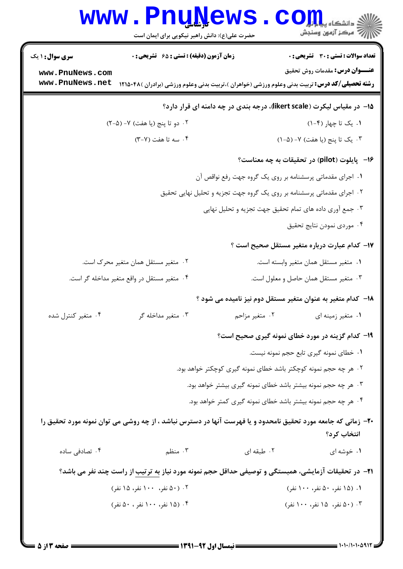## WWW.PnuNews.com ||// مرکز آزمون وسنجش حضرت علی(ع): دانش راهبر نیکویی برای ایمان است <mark>سری سوال :</mark> ۱ یک **زمان آزمون (دقیقه) : تستی : 65 تشریحی : 0** تعداد سوالات : تستى : 30 - تشريحي : 0 **عنـــوان درس:** مقدمات روش تحقیق www.PnuNews.com **رشته تحصیلی/کد درس:** تربیت بدنی وعلوم ورزشی (خواهران )،تربیت بدنی وعلوم ورزشی (برادران )۱۲۱۵۰۴۸ - www . PnuNews . net 1۵- در مقیاس لیکرت (likert scale)، درجه بندی در چه دامنه ای قرار دارد؟ ۰۲ دو تا پنج (یا هفت) ۷- (۵-۲) ۰۱ یک تا چهار (۴-۱) ۰۴ سه تا هفت (۲-۳) ۰۳ یک تا پنج (یا هفت) ۷- (۵-۱) ۱۶ - يايلوت (pilot) در تحقيقات به چه معناست؟ ۰۱ اجرای مقدماتی پرسشنامه بر روی یک گروه جهت رفع نواقص آن ۰۲ اجرای مقدماتی پرسشنامه بر روی یک گروه جهت تجزیه و تحلیل نهایی تحقیق ۰۳ جمع آوري داده هاي تمام تحقيق جهت تجزيه و تحليل نهايي ۰۴ موردی نمودن نتایج تحقیق ۱۷– کدام عبارت درباره متغیر مستقل صحیح است ؟ ٠١. متغير مستقل همان متغير وابسته است. ٢٠- متغير مستقل همان متغير محرک است. ۰۴ متغیر مستقل در واقع متغیر مداخله گر است. ۰۳ متغیر مستقل همان حاصل و معلول است. ۱۸– کدام متغیر به عنوان متغیر مستقل دوم نیز نامیده می شود ؟ ۰۴ متغیر کنترل شده ۰۳ متغیر مداخله گر ۰۲ متغیر مزاحم ۰۱ متغیر زمینه ای ۱۹- کدام گزینه در مورد خطای نمونه گیری صحیح است؟ ٠١. خطاي نمونه گيري تابع حجم نمونه نيست. ٢. هر چه حجم نمونه کوچکتر باشد خطای نمونه گیری کوچکتر خواهد بود. ۰۳ هر چه حجم نمونه بیشتر باشد خطای نمونه گیری بیشتر خواهد بود. ۰۴ هر چه حجم نمونه بیشتر باشد خطای نمونه گیری کمتر خواهد بود. ۲۰- زمانی که جامعه مورد تحقیق نامحدود و یا فهرست آنها در دسترس نباشد ، از چه روشی می توان نمونه مورد تحقیق را انتخاب ک د؟ ۰۴ تصادفی ساده ۰۳ منظم ۰۲ طبقه ای ۰۱ خوشه ای **۲۱**- در تحقیقات آزمایشی، همبستگی و توصیفی حداقل حجم نمونه مورد نیاز به ترتیب از راست چند نفر می باشد؟ ۰۲ (۵۰ نفر، ۱۰۰ نفر، ۱۵ نفر) ۰۱ (۱۵ نفر، ۵۰ نفر، ۱۰۰ نفر) ۰۴ (۱۵ نفر، ۱۰۰ نفر ، ۵۰ نفر) ۰۳ (۵۰ نفر، ۱۵ نفر، ۱۰۰ نفر)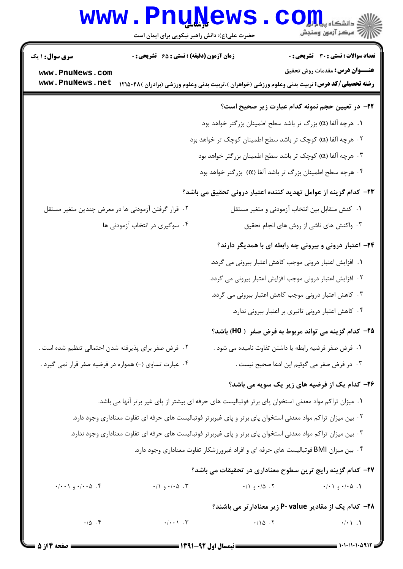## Www.PnuNews.com

| <b>سری سوال : ۱ یک</b>                                                                                             | زمان آزمون (دقیقه) : تستی : ۶۵ گتشریحی : 0                  |                     | <b>تعداد سوالات : تستی : 30 ٪ تشریحی : 0</b>                                                           |  |
|--------------------------------------------------------------------------------------------------------------------|-------------------------------------------------------------|---------------------|--------------------------------------------------------------------------------------------------------|--|
| www.PnuNews.com                                                                                                    |                                                             |                     | <b>عنـــوان درس:</b> مقدمات روش تحقیق                                                                  |  |
| www.PnuNews.net                                                                                                    |                                                             |                     | <b>رشته تحصیلی/کد درس:</b> تربیت بدنی وعلوم ورزشی (خواهران )،تربیت بدنی وعلوم ورزشی (برادران )۴۸۵۰۴۸ ( |  |
|                                                                                                                    |                                                             |                     | <b>۲۲</b> - در تعیین حجم نمونه کدام عبارت زیر صحیح است؟                                                |  |
|                                                                                                                    | ا.  هرچه آلفا (α) بزرگ تر باشد سطح اطمينان بزرگتر خواهد بود |                     |                                                                                                        |  |
|                                                                                                                    | ۰۲ هرچه آلفا (α) کوچک تر باشد سطح اطمینان کوچک تر خواهد بود |                     |                                                                                                        |  |
| ۰۳ هرچه آلفا (α) کوچک تر باشد سطح اطمینان بزرگتر خواهد بود                                                         |                                                             |                     |                                                                                                        |  |
|                                                                                                                    | ۰۴ هرچه سطح اطمینان بزرگ تر باشد آلفا (α)  بزرگتر خواهد بود |                     |                                                                                                        |  |
| ۲۳– کدام گزینه از عوامل تهدید کننده اعتبار درونی تحقیق می باشد؟                                                    |                                                             |                     |                                                                                                        |  |
|                                                                                                                    | ۰۲ قرار گرفتن آزمودنی ها در معرض چندین متغیر مستقل          |                     | ۰۱ کنش متقابل بین انتخاب آزمودنی و متغیر مستقل                                                         |  |
|                                                                                                                    | ۰۴ سوگیری در انتخاب آزمودنی ها                              |                     | ۰۳ واکنش های ناشی از روش های انجام تحقیق                                                               |  |
| ۲۴– اعتبار درونی و بیرونی چه رابطه ای با همدیگر دارند؟                                                             |                                                             |                     |                                                                                                        |  |
| ۰۱ افزایش اعتبار درونی موجب کاهش اعتبار بیرونی می گردد.                                                            |                                                             |                     |                                                                                                        |  |
| ۰۲ افزایش اعتبار درونی موجب افزایش اعتبار بیرونی می گردد.<br>۰۳ کاهش اعتبار درونی موجب کاهش اعتبار بیرونی می گردد. |                                                             |                     |                                                                                                        |  |
|                                                                                                                    |                                                             |                     |                                                                                                        |  |
|                                                                                                                    |                                                             |                     | ۰۴ کاهش اعتبار درونی تاثیری بر اعتبار بیرونی ندارد.                                                    |  |
|                                                                                                                    |                                                             |                     | <b>۲۵</b> – کدام گزینه می تواند مربوط به فرض صفر ( H0) باشد؟                                           |  |
|                                                                                                                    | ۰۲ فرض صفر برای پذیرفته شدن احتمالی تنظیم شده است .         |                     | ٠١ فرض صفر فرضيه رابطه يا داشتن تفاوت ناميده مي شود .                                                  |  |
| ۰۴ عبارت تساوی (=) همواره در فرضیه صفر قرار نمی گیرد .                                                             |                                                             |                     | ۰۳ در فرض صفر می گوئیم این ادعا صحیح نیست .                                                            |  |
|                                                                                                                    |                                                             |                     | ۲۶- کدام یک از فرضیه های زیر یک سویه می باشد؟                                                          |  |
| ۰۱ میزان تراکم مواد معدنی استخوان پای برتر فوتبالیست های حرفه ای بیشتر از پای غیر برتر آنها می باشد.               |                                                             |                     |                                                                                                        |  |
| ۰۲ بین میزان تراکم مواد معدنی استخوان پای برتر و پای غیربرتر فوتبالیست های حرفه ای تفاوت معناداری وجود دارد.       |                                                             |                     |                                                                                                        |  |
| ۰۳ بین میزان تراکم مواد معدنی استخوان پای برتر و پای غیربرتر فوتبالیست های حرفه ای تفاوت معناداری وجود ندارد.      |                                                             |                     |                                                                                                        |  |
| ۰۴ بین میزان BMI فوتبالیست های حرفه ای و افراد غیرورزشکار تفاوت معناداری وجود دارد.                                |                                                             |                     |                                                                                                        |  |
|                                                                                                                    |                                                             |                     | ٢٧- كدام گزينه رايج ترين سطوح معناداري در تحقيقات مي باشد؟                                             |  |
| $\cdot$ / ۰/۰۰۵ و ۰/۰۰۱                                                                                            | $\cdot$ / $\cdot$ / $\cdot$ / $\cdot$ $\circ$               | ۰/۱ $\circ$ ۰/۵ ۰ ۲ | ۰/۰۱ و ۰/۰۱                                                                                            |  |
|                                                                                                                    |                                                             |                     | <b>۲۸</b> – کدام یک از مقادیر P- value زیر معنادارتر می باشند؟                                         |  |
| $\cdot/\Delta$ .                                                                                                   |                                                             | .110.7              | $\cdot/\cdot$ \ . \                                                                                    |  |
|                                                                                                                    |                                                             |                     |                                                                                                        |  |

 $= 1.1 - 11.1 - 09117$